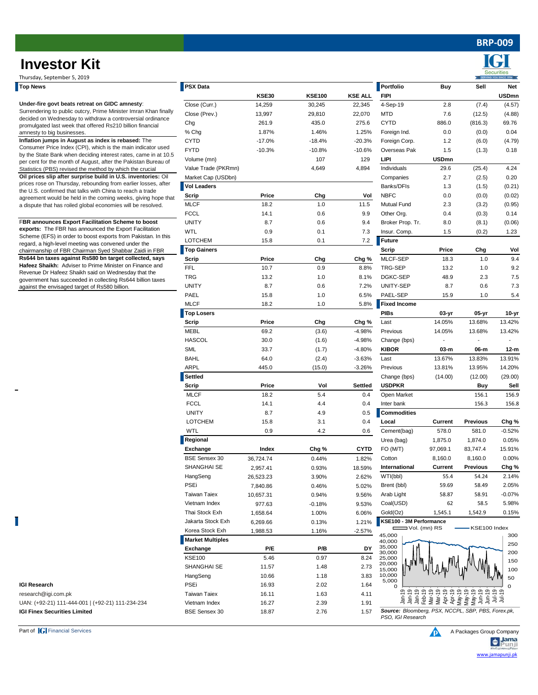# **Investor Kit**

Thursday, September 5, 2019

| <b>IGI Research</b> |
|---------------------|
| research@igi.com.pk |
|                     |

UAN: (+92-21) 111-444-001 | (+92-21) 111-234-234 **IGI Finex Securities Limited** 1. **IGI Finex Securities Limited** 1. **BSE Sensex 30** 18.87 2.76 2.76 1.

| <b>Top News</b>                                                                                                               | <b>PSX Data</b>                                                                                                                              |              |               |                | Portfolio               | <b>Buy</b>     | Sell            | <b>Net</b>   |
|-------------------------------------------------------------------------------------------------------------------------------|----------------------------------------------------------------------------------------------------------------------------------------------|--------------|---------------|----------------|-------------------------|----------------|-----------------|--------------|
|                                                                                                                               |                                                                                                                                              | <b>KSE30</b> | <b>KSE100</b> | <b>KSE ALL</b> | <b>FIPI</b>             |                |                 | <b>USDmn</b> |
| Under-fire govt beats retreat on GIDC amnesty:                                                                                | Close (Curr.)                                                                                                                                | 14,259       | 30,245        | 22,345         | 4-Sep-19                | 2.8            | (7.4)           | (4.57)       |
| Surrendering to public outcry, Prime Minister Imran Khan finally                                                              | Close (Prev.)                                                                                                                                | 13,997       | 29,810        | 22,070         | MTD                     | 7.6            | (12.5)          | (4.88)       |
| decided on Wednesday to withdraw a controversial ordinance                                                                    | Chg                                                                                                                                          | 261.9        | 435.0         | 275.6          | <b>CYTD</b>             | 886.0          | (816.3)         | 69.76        |
| promulgated last week that offered Rs210 billion financial<br>amnesty to big businesses.                                      | % Chg                                                                                                                                        | 1.87%        | 1.46%         | 1.25%          | Foreign Ind.            | 0.0            | (0.0)           | 0.04         |
| Inflation jumps in August as index is rebased: The                                                                            | <b>CYTD</b>                                                                                                                                  | $-17.0%$     | $-18.4%$      | $-20.3%$       | Foreign Corp.           | 1.2            | (6.0)           | (4.79)       |
| Consumer Price Index (CPI), which is the main indicator used                                                                  | <b>FYTD</b>                                                                                                                                  | $-10.3%$     | $-10.8%$      | $-10.6%$       | Overseas Pak            | 1.5            | (1.3)           | 0.18         |
| by the State Bank when deciding interest rates, came in at 10.5                                                               | Volume (mn)                                                                                                                                  |              | 107           | 129            | <b>LIPI</b>             | <b>USDmn</b>   |                 |              |
| per cent for the month of August, after the Pakistan Bureau of<br>Statistics (PBS) revised the method by which the crucial    | Value Trade (PKRmn)                                                                                                                          |              | 4,649         | 4,894          | Individuals             | 29.6           | (25.4)          | 4.24         |
| Oil prices slip after surprise build in U.S. inventories: Oil                                                                 | Market Cap (USDbn)                                                                                                                           |              |               |                | Companies               | 2.7            | (2.5)           | 0.20         |
| prices rose on Thursday, rebounding from earlier losses, after                                                                | <b>Vol Leaders</b>                                                                                                                           |              |               |                | Banks/DFIs              | 1.3            | (1.5)           | (0.21)       |
| the U.S. confirmed that talks with China to reach a trade                                                                     | <b>Scrip</b>                                                                                                                                 | <b>Price</b> | Chg           | Vol            | <b>NBFC</b>             | 0.0            | (0.0)           | (0.02)       |
| agreement would be held in the coming weeks, giving hope that<br>a dispute that has roiled global economies will be resolved. | <b>MLCF</b>                                                                                                                                  | 18.2         | 1.0           | 11.5           | <b>Mutual Fund</b>      | 2.3            | (3.2)           | (0.95)       |
|                                                                                                                               | <b>FCCL</b>                                                                                                                                  | 14.1         | 0.6           | 9.9            | Other Org.              | 0.4            | (0.3)           | 0.14         |
| FBR announces Export Facilitation Scheme to boost                                                                             | <b>UNITY</b>                                                                                                                                 | 8.7          | 0.6           | 9.4            | Broker Prop. Tr.        | 8.0            | (8.1)           | (0.06)       |
| exports: The FBR has announced the Export Facilitation                                                                        | <b>WTL</b>                                                                                                                                   | 0.9          | 0.1           | 7.3            | Insur. Comp.            | 1.5            | (0.2)           | 1.23         |
| Scheme (EFS) in order to boost exports from Pakistan. In this                                                                 | <b>LOTCHEM</b>                                                                                                                               | 15.8         | 0.1           | 7.2            | Future                  |                |                 |              |
| regard, a high-level meeting was convened under the                                                                           |                                                                                                                                              |              |               |                |                         |                |                 |              |
| chairmanship of FBR Chairman Syed Shabbar Zaidi in FBR<br>Rs644 bn taxes against Rs580 bn target collected, says              | <b>Top Gainers</b>                                                                                                                           |              |               |                | <b>Scrip</b>            | <b>Price</b>   | Chg             | Vol          |
| Hafeez Shaikh: Adviser to Prime Minister on Finance and                                                                       | <b>Scrip</b>                                                                                                                                 | <b>Price</b> | Chg           | Chg %          | MLCF-SEP                | 18.3           | 1.0             | 9.4          |
| Revenue Dr Hafeez Shaikh said on Wednesday that the                                                                           | <b>FFL</b>                                                                                                                                   | 10.7         | 0.9           | 8.8%           | TRG-SEP                 | 13.2           | 1.0             | 9.2          |
| government has succeeded in collecting Rs644 billion taxes                                                                    | <b>TRG</b>                                                                                                                                   | 13.2         | 1.0           | 8.1%           | DGKC-SEP                | 48.9           | 2.3             | 7.5          |
| against the envisaged target of Rs580 billion.                                                                                | <b>UNITY</b>                                                                                                                                 | 8.7          | 0.6           | 7.2%           | UNITY-SEP               | 8.7            | 0.6             | 7.3          |
|                                                                                                                               | PAEL                                                                                                                                         | 15.8         | 1.0           | 6.5%           | PAEL-SEP                | 15.9           | 1.0             | 5.4          |
|                                                                                                                               | <b>MLCF</b>                                                                                                                                  | 18.2         | 1.0           | 5.8%           | <b>Fixed Income</b>     |                |                 |              |
|                                                                                                                               | <b>Top Losers</b>                                                                                                                            |              |               |                | <b>PIBs</b>             | 03-yr          | 05-yr           | 10-yr        |
|                                                                                                                               | <b>Scrip</b>                                                                                                                                 | <b>Price</b> | Chg           | Chg %          | Last                    | 14.05%         | 13.68%          | 13.42%       |
|                                                                                                                               | <b>MEBL</b>                                                                                                                                  | 69.2         | (3.6)         | $-4.98%$       | Previous                | 14.05%         | 13.68%          | 13.42%       |
|                                                                                                                               | <b>HASCOL</b>                                                                                                                                | 30.0         | (1.6)         | $-4.98%$       | Change (bps)            |                |                 |              |
|                                                                                                                               | <b>SML</b>                                                                                                                                   | 33.7         | (1.7)         | $-4.80%$       | <b>KIBOR</b>            | $03-m$         | 06-m            | $12-m$       |
|                                                                                                                               | <b>BAHL</b>                                                                                                                                  | 64.0         | (2.4)         | $-3.63%$       | Last                    | 13.67%         | 13.83%          | 13.91%       |
|                                                                                                                               | <b>ARPL</b>                                                                                                                                  | 445.0        | (15.0)        | $-3.26%$       | Previous                | 13.81%         | 13.95%          | 14.20%       |
|                                                                                                                               | Settled                                                                                                                                      |              |               |                | Change (bps)            | (14.00)        | (12.00)         | (29.00)      |
|                                                                                                                               | <b>Scrip</b>                                                                                                                                 | <b>Price</b> | Vol           | <b>Settled</b> | <b>USDPKR</b>           |                | <b>Buy</b>      | Sell         |
|                                                                                                                               | <b>MLCF</b>                                                                                                                                  | 18.2         | 5.4           | 0.4            | Open Market             |                | 156.1           | 156.9        |
|                                                                                                                               | <b>FCCL</b>                                                                                                                                  | 14.1         | 4.4           | 0.4            | Inter bank              |                | 156.3           | 156.8        |
|                                                                                                                               | <b>UNITY</b>                                                                                                                                 | 8.7          | 4.9           | 0.5            | <b>Commodities</b>      |                |                 |              |
|                                                                                                                               | <b>LOTCHEM</b>                                                                                                                               | 15.8         | 3.1           | 0.4            | Local                   | <b>Current</b> | <b>Previous</b> | Chg %        |
|                                                                                                                               | <b>WTL</b>                                                                                                                                   | 0.9          | 4.2           | 0.6            | Cement(bag)             | 578.0          | 581.0           | $-0.52%$     |
|                                                                                                                               | Regional                                                                                                                                     |              |               |                | Urea (bag)              | 1,875.0        | 1,874.0         | 0.05%        |
|                                                                                                                               | <b>Exchange</b>                                                                                                                              | Index        | Chg %         | <b>CYTD</b>    | FO(M/T)                 | 97,069.1       | 83,747.4        | 15.91%       |
|                                                                                                                               | <b>BSE Sensex 30</b>                                                                                                                         | 36,724.74    | 0.44%         | 1.82%          | Cotton                  | 8,160.0        | 8,160.0         | 0.00%        |
|                                                                                                                               | SHANGHAI SE                                                                                                                                  | 2,957.41     | 0.93%         | 18.59%         | International           | <b>Current</b> | <b>Previous</b> | Chg %        |
|                                                                                                                               | HangSeng                                                                                                                                     | 26,523.23    | 3.90%         | 2.62%          | WTI(bbl)                | 55.4           | 54.24           | 2.14%        |
|                                                                                                                               | <b>PSEi</b>                                                                                                                                  | 7,840.86     | 0.46%         | 5.02%          | Brent (bbl)             | 59.69          | 58.49           | 2.05%        |
|                                                                                                                               |                                                                                                                                              |              |               |                |                         |                | 58.91           | $-0.07%$     |
|                                                                                                                               | <b>Taiwan Taiex</b><br>Arab Light<br>58.87<br>10,657.31<br>9.56%<br>0.94%<br>Vietnam Index<br>977.63<br>9.53%<br>Coal(USD)<br>62<br>$-0.18%$ | 58.5         | 5.98%         |                |                         |                |                 |              |
|                                                                                                                               | Thai Stock Exh                                                                                                                               |              |               |                | Gold(Oz)                | 1,545.1        | 1,542.9         | 0.15%        |
|                                                                                                                               | Jakarta Stock Exh                                                                                                                            | 1,658.64     | 1.00%         | 6.06%          | KSE100 - 3M Performance |                |                 |              |
|                                                                                                                               | Korea Stock Exh                                                                                                                              | 6,269.66     | 0.13%         | 1.21%          | $\equiv$ Vol. (mn) RS   |                | KSE100 Index    |              |
|                                                                                                                               |                                                                                                                                              | 1,988.53     | 1.16%         | $-2.57%$       | 45,000                  |                |                 | 300          |
|                                                                                                                               | <b>Market Multiples</b>                                                                                                                      |              |               |                | 40,000<br>35,000        |                |                 | 250          |
|                                                                                                                               | <b>Exchange</b>                                                                                                                              | P/E          | P/B           | DY             | 30,000                  |                |                 | 200          |
|                                                                                                                               | <b>KSE100</b>                                                                                                                                | 5.46         | 0.97          | 8.24           | 25,000<br>20,000        |                |                 | 150          |
|                                                                                                                               | SHANGHAI SE                                                                                                                                  | 11.57        | 1.48          | 2.73           | 15,000                  |                |                 | 100          |
|                                                                                                                               | HangSeng                                                                                                                                     | 10.66        | 1.18          | 3.83           | 10,000<br>5,000         |                |                 | 50           |
| <b>IGI Research</b>                                                                                                           | <b>PSEi</b>                                                                                                                                  | 16.93        | 2.02          | 1.64           | 0                       |                |                 | $\Omega$     |
| research@igi.com.pk                                                                                                           | <b>Taiwan Taiex</b>                                                                                                                          | 16.11        | 1.63          | 4.11           |                         |                |                 | $Ju-19$      |
| UAN: (+92-21) 111-444-001   (+92-21) 111-234-234                                                                              | Vietnam Index                                                                                                                                | 16.27        | 2.39          | 1.91           |                         |                |                 |              |

|              |               |                |                                                    |                             | <b>Securities</b><br><b>SERVING YOU SINCE 1994</b>         |              |  |
|--------------|---------------|----------------|----------------------------------------------------|-----------------------------|------------------------------------------------------------|--------------|--|
|              |               |                | Portfolio                                          | <b>Buy</b>                  | Sell                                                       | <b>Net</b>   |  |
| KSE30        | <b>KSE100</b> | <b>KSE ALL</b> | <b>FIPI</b>                                        |                             |                                                            | <b>USDmn</b> |  |
| 14,259       | 30,245        | 22,345         | 4-Sep-19                                           | 2.8                         | (7.4)                                                      | (4.57)       |  |
| 13,997       | 29,810        | 22,070         | MTD                                                | 7.6                         | (12.5)                                                     | (4.88)       |  |
| 261.9        | 435.0         | 275.6          | <b>CYTD</b>                                        | 886.0                       | (816.3)                                                    | 69.76        |  |
| 1.87%        | 1.46%         | 1.25%          | Foreign Ind.                                       | 0.0                         | (0.0)                                                      | 0.04         |  |
| $-17.0\%$    | $-18.4%$      | $-20.3%$       | Foreign Corp.                                      | 1.2                         | (6.0)                                                      | (4.79)       |  |
| $-10.3%$     | $-10.8%$      | $-10.6%$       | Overseas Pak                                       | 1.5                         | (1.3)                                                      | 0.18         |  |
|              | 107           | 129            | <b>LIPI</b>                                        | <b>USDmn</b>                |                                                            |              |  |
|              | 4,649         | 4,894          | Individuals                                        | 29.6                        | (25.4)                                                     | 4.24         |  |
|              |               |                | Companies                                          | 2.7                         | (2.5)                                                      | 0.20         |  |
|              |               |                | Banks/DFIs                                         | 1.3                         | (1.5)                                                      | (0.21)       |  |
| <b>Price</b> | Chg           | Vol            | <b>NBFC</b>                                        | 0.0                         | (0.0)                                                      | (0.02)       |  |
| 18.2         | 1.0           | 11.5           | <b>Mutual Fund</b>                                 | 2.3                         | (3.2)                                                      | (0.95)       |  |
| 14.1         | 0.6           | 9.9            | Other Org.                                         | 0.4                         | (0.3)                                                      | 0.14         |  |
| 8.7          | 0.6           | 9.4            | Broker Prop. Tr.                                   | 8.0                         | (8.1)                                                      | (0.06)       |  |
| 0.9          | 0.1           | 7.3            | Insur. Comp.                                       | 1.5                         | (0.2)                                                      | 1.23         |  |
| 15.8         | 0.1           | 7.2            | <b>Future</b>                                      |                             |                                                            |              |  |
|              |               |                | <b>Scrip</b>                                       | <b>Price</b>                | Chg                                                        | Vol          |  |
| <b>Price</b> | Chg           | Chg %          | MLCF-SEP                                           | 18.3                        | 1.0                                                        | 9.4          |  |
| 10.7         | 0.9           | 8.8%           | TRG-SEP                                            | 13.2                        | 1.0                                                        | 9.2          |  |
| 13.2         | 1.0           | 8.1%           | DGKC-SEP                                           | 48.9                        | 2.3                                                        | 7.5          |  |
| 8.7          | 0.6           | 7.2%           | UNITY-SEP                                          | 8.7                         | 0.6                                                        | 7.3          |  |
| 15.8         | 1.0           | 6.5%           | PAEL-SEP                                           | 15.9                        | 1.0                                                        | 5.4          |  |
| 18.2         | 1.0           | 5.8%           | <b>Fixed Income</b>                                |                             |                                                            |              |  |
|              |               |                | <b>PIBs</b>                                        | 03-yr                       | 05-yr                                                      | $10-yr$      |  |
| <b>Price</b> | Chg           | Chg %          | Last                                               | 14.05%                      | 13.68%                                                     | 13.42%       |  |
| 69.2         | (3.6)         | $-4.98%$       | Previous                                           | 14.05%                      | 13.68%                                                     | 13.42%       |  |
| 30.0         | (1.6)         | $-4.98%$       | Change (bps)                                       |                             |                                                            |              |  |
| 33.7         | (1.7)         | $-4.80%$       | <b>KIBOR</b>                                       | 03-m                        | 06-m                                                       | $12-m$       |  |
| 64.0         | (2.4)         | $-3.63%$       | Last                                               | 13.67%                      | 13.83%                                                     | 13.91%       |  |
| 445.0        | (15.0)        | $-3.26%$       | Previous                                           | 13.81%                      | 13.95%                                                     | 14.20%       |  |
|              |               |                | Change (bps)                                       | (14.00)                     | (12.00)                                                    | (29.00)      |  |
| <b>Price</b> | Vol           | <b>Settled</b> | <b>USDPKR</b>                                      |                             | <b>Buy</b>                                                 | Sell         |  |
| 18.2         | 5.4           | 0.4            | Open Market                                        |                             | 156.1                                                      | 156.9        |  |
| 14.1         | 4.4           | 0.4            | Inter bank                                         |                             | 156.3                                                      | 156.8        |  |
| 8.7          | 4.9           | 0.5            | <b>Commodities</b>                                 |                             |                                                            |              |  |
| 15.8         | 3.1           | 0.4            | Local                                              | <b>Current</b>              | <b>Previous</b>                                            | Chg %        |  |
| 0.9          | 4.2           | 0.6            | Cement(bag)                                        | 578.0                       | 581.0                                                      | $-0.52%$     |  |
|              |               |                | Urea (bag)                                         | 1,875.0                     | 1,874.0                                                    | 0.05%        |  |
| Index        | Chg %         | <b>CYTD</b>    | FO(M/T)                                            | 97,069.1                    | 83,747.4                                                   | 15.91%       |  |
| 724.74       | 0.44%         | 1.82%          | Cotton                                             | 8,160.0                     | 8,160.0                                                    | 0.00%        |  |
| 957.41       | 0.93%         | 18.59%         | International                                      | <b>Current</b>              | <b>Previous</b>                                            | Chg %        |  |
| 523.23       | 3.90%         | 2.62%          | WTI(bbl)                                           | 55.4                        | 54.24                                                      | 2.14%        |  |
| 340.86       | 0.46%         | 5.02%          | Brent (bbl)                                        | 59.69                       | 58.49                                                      | 2.05%        |  |
| 357.31       | 0.94%         | 9.56%          | Arab Light                                         | 58.87                       | 58.91                                                      | $-0.07%$     |  |
| 977.63       | $-0.18%$      | 9.53%          | Coal(USD)                                          | 62                          | 58.5                                                       | 5.98%        |  |
| 358.64       | 1.00%         | 6.06%          | Gold(Oz)                                           | 1,545.1                     | 1,542.9                                                    | 0.15%        |  |
| 269.66       | 0.13%         | 1.21%          | KSE100 - 3M Performance                            |                             |                                                            |              |  |
| 988.53       | 1.16%         | $-2.57%$       |                                                    | ⊒ Vol. (mn) RS              | KSE100 Index                                               |              |  |
|              |               |                | 45,000<br>40,000                                   |                             |                                                            | 300          |  |
| P/E          | P/B           | DY             | 35,000                                             |                             |                                                            | 250          |  |
| 5.46         | 0.97          | 8.24           | 30,000<br>25,000                                   |                             |                                                            | 200          |  |
| 11.57        | 1.48          | 2.73           | 20,000                                             |                             |                                                            | 150          |  |
| 10.66        | 1.18          | 3.83           | 15,000<br>10,000                                   |                             |                                                            | 100<br>50    |  |
| 16.93        | 2.02          | 1.64           | 5,000<br>0                                         |                             |                                                            | 0            |  |
| 16.11        | 1.63          | 4.11           | $\overline{9}$                                     |                             |                                                            |              |  |
| 16.27        | 2.39          | 1.91           | غ<br>Feb                                           | Apr-<br>Mar.<br>Mar.<br>Äp. | $May-19$<br>$May-19$<br>$May-19$<br>$J$ un-19<br>$J$ un-19 |              |  |
| 18.87        | 2.76          | 1.57           | Source: Bloomberg, PSX, NCCPL, SBP, PBS, Forex.pk, |                             |                                                            |              |  |

*PSO, IGI Research*

Part of **[G]** Financial Services **A Packages Group Company** 

### **BRP-009**

**TAT**